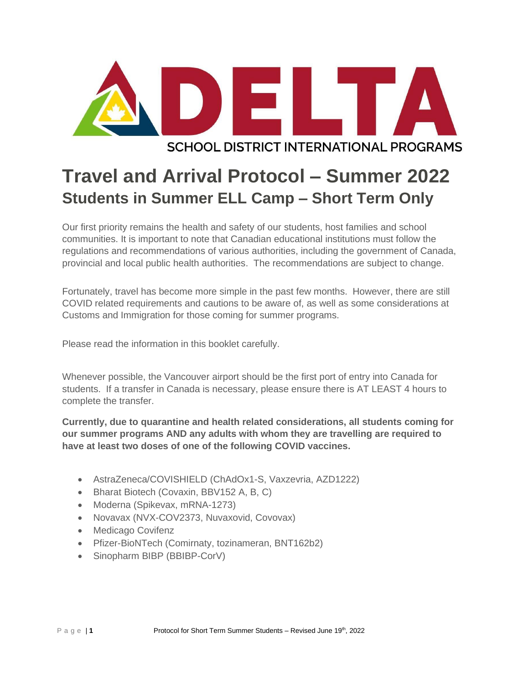

# **SCHOOL DISTRICT INTERNATIONAL PROGRAMS**

# **Travel and Arrival Protocol – Summer 2022 Students in Summer ELL Camp – Short Term Only**

Our first priority remains the health and safety of our students, host families and school communities. It is important to note that Canadian educational institutions must follow the regulations and recommendations of various authorities, including the government of Canada, provincial and local public health authorities. The recommendations are subject to change.

Fortunately, travel has become more simple in the past few months. However, there are still COVID related requirements and cautions to be aware of, as well as some considerations at Customs and Immigration for those coming for summer programs.

Please read the information in this booklet carefully.

Whenever possible, the Vancouver airport should be the first port of entry into Canada for students. If a transfer in Canada is necessary, please ensure there is AT LEAST 4 hours to complete the transfer.

**Currently, due to quarantine and health related considerations, all students coming for our summer programs AND any adults with whom they are travelling are required to have at least two doses of one of the following COVID vaccines.** 

- AstraZeneca/COVISHIELD (ChAdOx1-S, Vaxzevria, AZD1222)
- Bharat Biotech (Covaxin, BBV152 A, B, C)
- Moderna (Spikevax, mRNA-1273)
- Novavax (NVX-COV2373, Nuvaxovid, Covovax)
- Medicago Covifenz
- Pfizer-BioNTech (Comirnaty, tozinameran, BNT162b2)
- Sinopharm BIBP (BBIBP-CorV)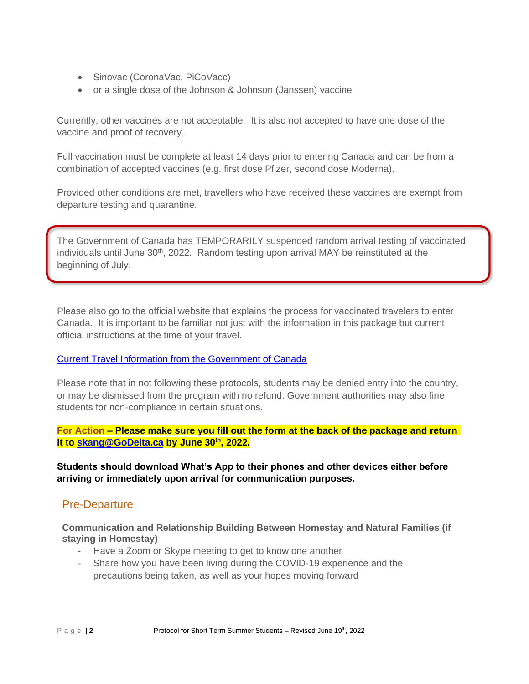- Sinovac (CoronaVac, PiCoVacc)
- or a single dose of the Johnson & Johnson (Janssen) vaccine

Currently, other vaccines are not acceptable. It is also not accepted to have one dose of the vaccine and proof of recovery.

Full vaccination must be complete at least 14 days prior to entering Canada and can be from a combination of accepted vaccines (e.g. first dose Pfizer, second dose Moderna).

Provided other conditions are met, travellers who have received these vaccines are exempt from departure testing and quarantine.

The Government of Canada has TEMPORARILY suspended random arrival testing of vaccinated individuals until June 30<sup>th</sup>, 2022. Random testing upon arrival MAY be reinstituted at the beginning of July.

Please also go to the official website that explains the process for vaccinated travelers to enter Canada. It is important to be familiar not just with the information in this package but current official instructions at the time of your travel.

# [Current Travel Information from the Government of Canada](https://travel.gc.ca/travel-covid/travel-restrictions/covid-vaccinated-travellers-entering-canada#pre-entry-testing)

Please note that in not following these protocols, students may be denied entry into the country, or may be dismissed from the program with no refund. Government authorities may also fine students for non-compliance in certain situations.

**For Action – Please make sure you fill out the form at the back of the package and return it to [skang@GoDelta.ca](mailto:skang@GoDelta.ca) by June 30th , 2022.**

**Students should download What's App to their phones and other devices either before arriving or immediately upon arrival for communication purposes.**

# Pre-Departure

**Communication and Relationship Building Between Homestay and Natural Families (if staying in Homestay)**

- Have a Zoom or Skype meeting to get to know one another
- Share how you have been living during the COVID-19 experience and the precautions being taken, as well as your hopes moving forward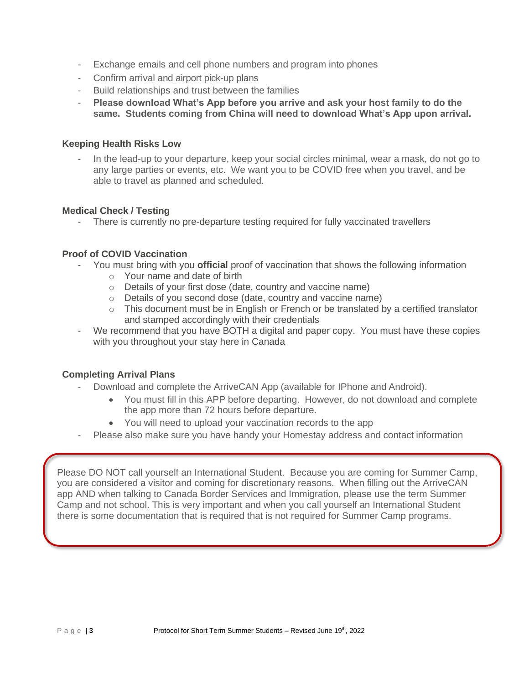- Exchange emails and cell phone numbers and program into phones
- Confirm arrival and airport pick-up plans
- Build relationships and trust between the families
- **Please download What's App before you arrive and ask your host family to do the same. Students coming from China will need to download What's App upon arrival.**

#### **Keeping Health Risks Low**

In the lead-up to your departure, keep your social circles minimal, wear a mask, do not go to any large parties or events, etc. We want you to be COVID free when you travel, and be able to travel as planned and scheduled.

# **Medical Check / Testing**

- There is currently no pre-departure testing required for fully vaccinated travellers

# **Proof of COVID Vaccination**

- You must bring with you **official** proof of vaccination that shows the following information
	- o Your name and date of birth
	- o Details of your first dose (date, country and vaccine name)
	- o Details of you second dose (date, country and vaccine name)
	- o This document must be in English or French or be translated by a certified translator and stamped accordingly with their credentials
- We recommend that you have BOTH a digital and paper copy. You must have these copies with you throughout your stay here in Canada

# **Completing Arrival Plans**

- Download and complete the ArriveCAN App (available for IPhone and Android).
	- You must fill in this APP before departing. However, do not download and complete the app more than 72 hours before departure.
	- You will need to upload your vaccination records to the app
- Please also make sure you have handy your Homestay address and contact information

Please DO NOT call yourself an International Student. Because you are coming for Summer Camp, you are considered a visitor and coming for discretionary reasons. When filling out the ArriveCAN app AND when talking to Canada Border Services and Immigration, please use the term Summer Camp and not school. This is very important and when you call yourself an International Student there is some documentation that is required that is not required for Summer Camp programs.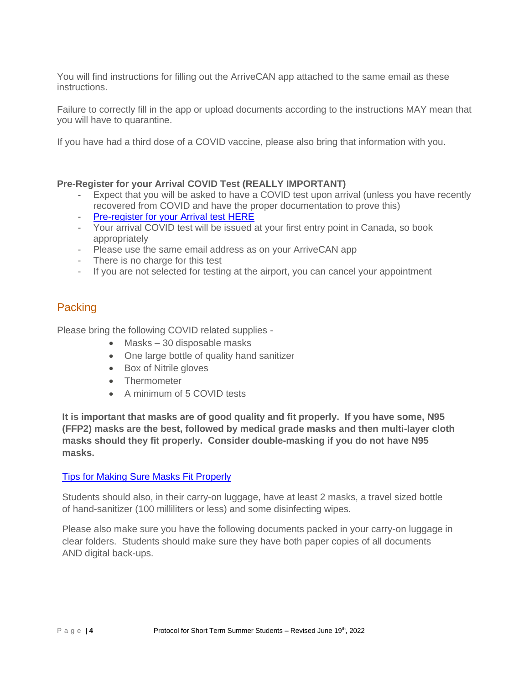You will find instructions for filling out the ArriveCAN app attached to the same email as these instructions.

Failure to correctly fill in the app or upload documents according to the instructions MAY mean that you will have to quarantine.

If you have had a third dose of a COVID vaccine, please also bring that information with you.

# **Pre-Register for your Arrival COVID Test (REALLY IMPORTANT)**

- Expect that you will be asked to have a COVID test upon arrival (unless you have recently recovered from COVID and have the proper documentation to prove this)
- [Pre-register for your Arrival test HERE](https://www.lifelabs.com/flyclear/onarrival/?myProvince=bc)
- Your arrival COVID test will be issued at your first entry point in Canada, so book appropriately
- Please use the same email address as on your ArriveCAN app
- There is no charge for this test
- If you are not selected for testing at the airport, you can cancel your appointment

# Packing

Please bring the following COVID related supplies -

- Masks 30 disposable masks
- One large bottle of quality hand sanitizer
- Box of Nitrile gloves
- Thermometer
- A minimum of 5 COVID tests

**It is important that masks are of good quality and fit properly. If you have some, N95 (FFP2) masks are the best, followed by medical grade masks and then multi-layer cloth masks should they fit properly. Consider double-masking if you do not have N95 masks.**

# [Tips for Making Sure Masks Fit Properly](https://www.canada.ca/content/dam/phac-aspc/documents/services/publications/diseases-conditions/covid-19-mask-fit-properly/covid-19-mask-fit-properly-en.pdf)

Students should also, in their carry-on luggage, have at least 2 masks, a travel sized bottle of hand-sanitizer (100 milliliters or less) and some disinfecting wipes.

Please also make sure you have the following documents packed in your carry-on luggage in clear folders. Students should make sure they have both paper copies of all documents AND digital back-ups.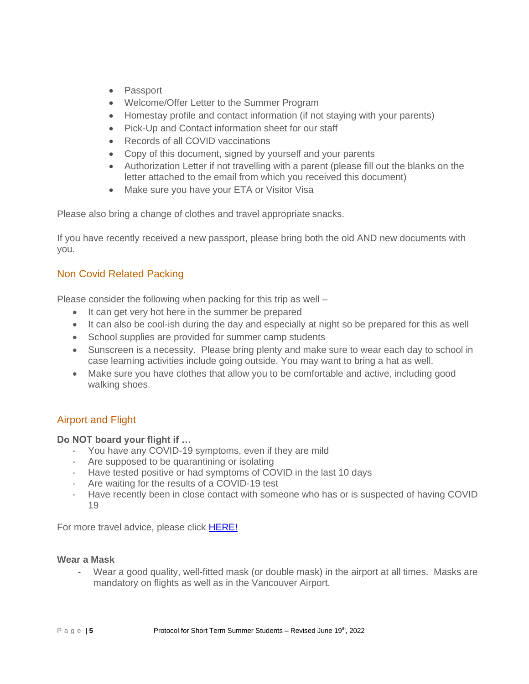- Passport
- Welcome/Offer Letter to the Summer Program
- Homestay profile and contact information (if not staying with your parents)
- Pick-Up and Contact information sheet for our staff
- Records of all COVID vaccinations
- Copy of this document, signed by yourself and your parents
- Authorization Letter if not travelling with a parent (please fill out the blanks on the letter attached to the email from which you received this document)
- Make sure you have your ETA or Visitor Visa

Please also bring a change of clothes and travel appropriate snacks.

If you have recently received a new passport, please bring both the old AND new documents with you.

# Non Covid Related Packing

Please consider the following when packing for this trip as well –

- It can get very hot here in the summer be prepared
- It can also be cool-ish during the day and especially at night so be prepared for this as well
- School supplies are provided for summer camp students
- Sunscreen is a necessity. Please bring plenty and make sure to wear each day to school in case learning activities include going outside. You may want to bring a hat as well.
- Make sure you have clothes that allow you to be comfortable and active, including good walking shoes.

# Airport and Flight

# **Do NOT board your flight if …**

- You have any COVID-19 symptoms, even if they are mild
- Are supposed to be quarantining or isolating
- Have tested positive or had symptoms of COVID in the last 10 days
- Are waiting for the results of a COVID-19 test
- Have recently been in close contact with someone who has or is suspected of having COVID 19

For more travel advice, please click **HERE!** 

# **Wear a Mask**

- Wear a good quality, well-fitted mask (or double mask) in the airport at all times. Masks are mandatory on flights as well as in the Vancouver Airport.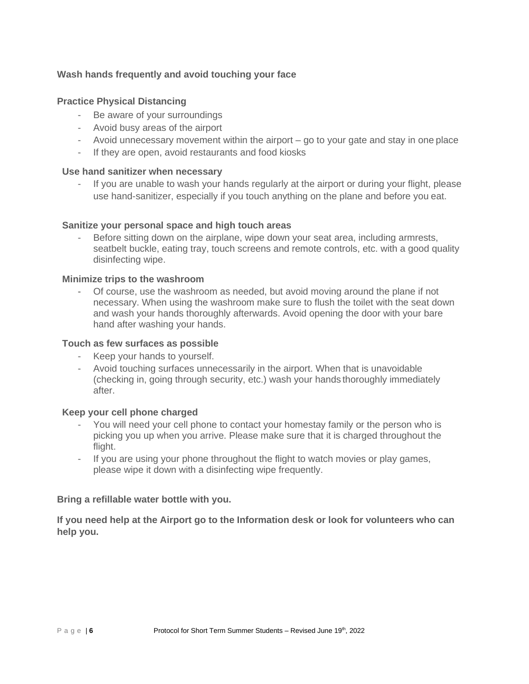# **Wash hands frequently and avoid touching your face**

# **Practice Physical Distancing**

- Be aware of your surroundings
- Avoid busy areas of the airport
- Avoid unnecessary movement within the airport go to your gate and stay in one place
- If they are open, avoid restaurants and food kiosks

#### **Use hand sanitizer when necessary**

- If you are unable to wash your hands regularly at the airport or during your flight, please use hand-sanitizer, especially if you touch anything on the plane and before you eat.

#### **Sanitize your personal space and high touch areas**

Before sitting down on the airplane, wipe down your seat area, including armrests, seatbelt buckle, eating tray, touch screens and remote controls, etc. with a good quality disinfecting wipe.

#### **Minimize trips to the washroom**

- Of course, use the washroom as needed, but avoid moving around the plane if not necessary. When using the washroom make sure to flush the toilet with the seat down and wash your hands thoroughly afterwards. Avoid opening the door with your bare hand after washing your hands.

#### **Touch as few surfaces as possible**

- Keep your hands to yourself.
- Avoid touching surfaces unnecessarily in the airport. When that is unavoidable (checking in, going through security, etc.) wash your hands thoroughly immediately after.

#### **Keep your cell phone charged**

- You will need your cell phone to contact your homestay family or the person who is picking you up when you arrive. Please make sure that it is charged throughout the flight.
- If you are using your phone throughout the flight to watch movies or play games, please wipe it down with a disinfecting wipe frequently.

#### **Bring a refillable water bottle with you.**

**If you need help at the Airport go to the Information desk or look for volunteers who can help you.**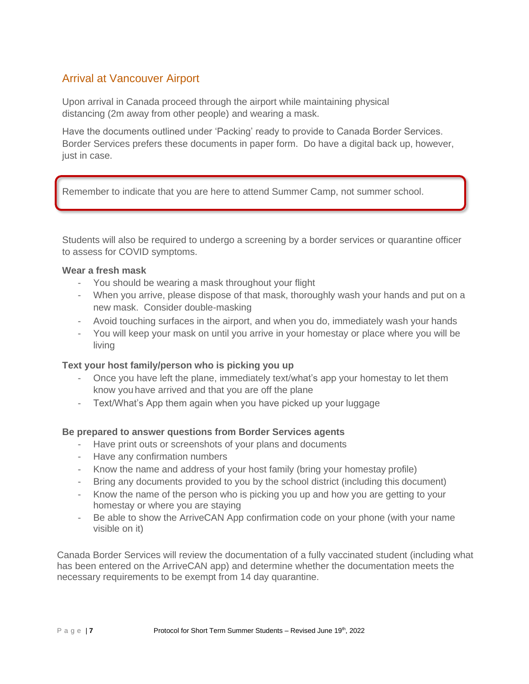# Arrival at Vancouver Airport

Upon arrival in Canada proceed through the airport while maintaining physical distancing (2m away from other people) and wearing a mask.

Have the documents outlined under 'Packing' ready to provide to Canada Border Services. Border Services prefers these documents in paper form. Do have a digital back up, however, just in case.

Remember to indicate that you are here to attend Summer Camp, not summer school.

Students will also be required to undergo a screening by a border services or quarantine officer to assess for COVID symptoms.

# **Wear a fresh mask**

- You should be wearing a mask throughout your flight
- When you arrive, please dispose of that mask, thoroughly wash your hands and put on a new mask. Consider double-masking
- Avoid touching surfaces in the airport, and when you do, immediately wash your hands
- You will keep your mask on until you arrive in your homestay or place where you will be living

# **Text your host family/person who is picking you up**

- Once you have left the plane, immediately text/what's app your homestay to let them know youhave arrived and that you are off the plane
- Text/What's App them again when you have picked up your luggage

#### **Be prepared to answer questions from Border Services agents**

- Have print outs or screenshots of your plans and documents
- Have any confirmation numbers
- Know the name and address of your host family (bring your homestay profile)
- Bring any documents provided to you by the school district (including this document)
- Know the name of the person who is picking you up and how you are getting to your homestay or where you are staying
- Be able to show the ArriveCAN App confirmation code on your phone (with your name visible on it)

Canada Border Services will review the documentation of a fully vaccinated student (including what has been entered on the ArriveCAN app) and determine whether the documentation meets the necessary requirements to be exempt from 14 day quarantine.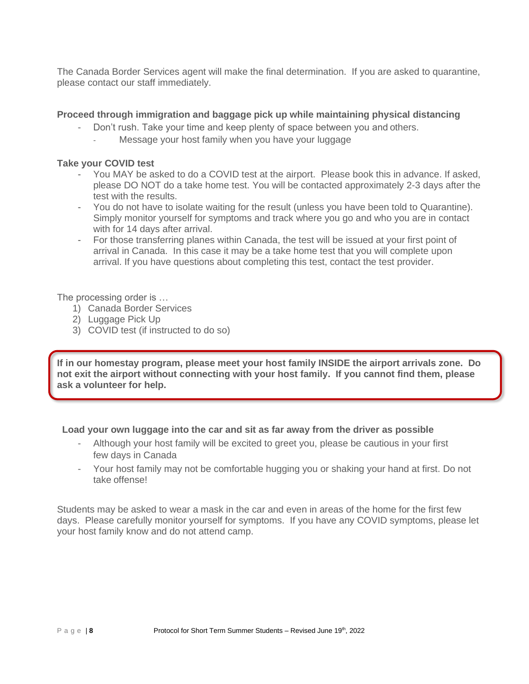The Canada Border Services agent will make the final determination. If you are asked to quarantine, please contact our staff immediately.

# **Proceed through immigration and baggage pick up while maintaining physical distancing**

- Don't rush. Take your time and keep plenty of space between you and others.
	- Message your host family when you have your luggage

#### **Take your COVID test**

- You MAY be asked to do a COVID test at the airport. Please book this in advance. If asked, please DO NOT do a take home test. You will be contacted approximately 2-3 days after the test with the results.
- You do not have to isolate waiting for the result (unless you have been told to Quarantine). Simply monitor yourself for symptoms and track where you go and who you are in contact with for 14 days after arrival.
- For those transferring planes within Canada, the test will be issued at your first point of arrival in Canada. In this case it may be a take home test that you will complete upon arrival. If you have questions about completing this test, contact the test provider.

The processing order is …

- 1) Canada Border Services
- 2) Luggage Pick Up
- 3) COVID test (if instructed to do so)

**If in our homestay program, please meet your host family INSIDE the airport arrivals zone. Do not exit the airport without connecting with your host family. If you cannot find them, please ask a volunteer for help.**

# **Load your own luggage into the car and sit as far away from the driver as possible**

- Although your host family will be excited to greet you, please be cautious in your first few days in Canada
- Your host family may not be comfortable hugging you or shaking your hand at first. Do not take offense!

Students may be asked to wear a mask in the car and even in areas of the home for the first few days. Please carefully monitor yourself for symptoms. If you have any COVID symptoms, please let your host family know and do not attend camp.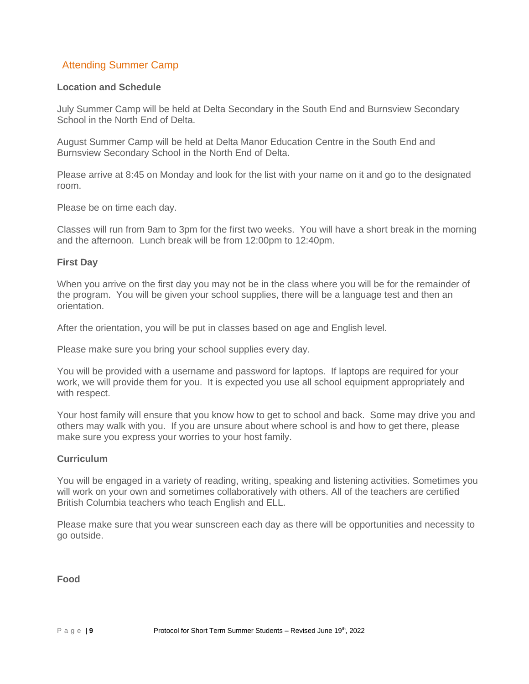# Attending Summer Camp

#### **Location and Schedule**

July Summer Camp will be held at Delta Secondary in the South End and Burnsview Secondary School in the North End of Delta.

August Summer Camp will be held at Delta Manor Education Centre in the South End and Burnsview Secondary School in the North End of Delta.

Please arrive at 8:45 on Monday and look for the list with your name on it and go to the designated room.

Please be on time each day.

Classes will run from 9am to 3pm for the first two weeks. You will have a short break in the morning and the afternoon. Lunch break will be from 12:00pm to 12:40pm.

#### **First Day**

When you arrive on the first day you may not be in the class where you will be for the remainder of the program. You will be given your school supplies, there will be a language test and then an orientation.

After the orientation, you will be put in classes based on age and English level.

Please make sure you bring your school supplies every day.

You will be provided with a username and password for laptops. If laptops are required for your work, we will provide them for you. It is expected you use all school equipment appropriately and with respect.

Your host family will ensure that you know how to get to school and back. Some may drive you and others may walk with you. If you are unsure about where school is and how to get there, please make sure you express your worries to your host family.

#### **Curriculum**

You will be engaged in a variety of reading, writing, speaking and listening activities. Sometimes you will work on your own and sometimes collaboratively with others. All of the teachers are certified British Columbia teachers who teach English and ELL.

Please make sure that you wear sunscreen each day as there will be opportunities and necessity to go outside.

**Food**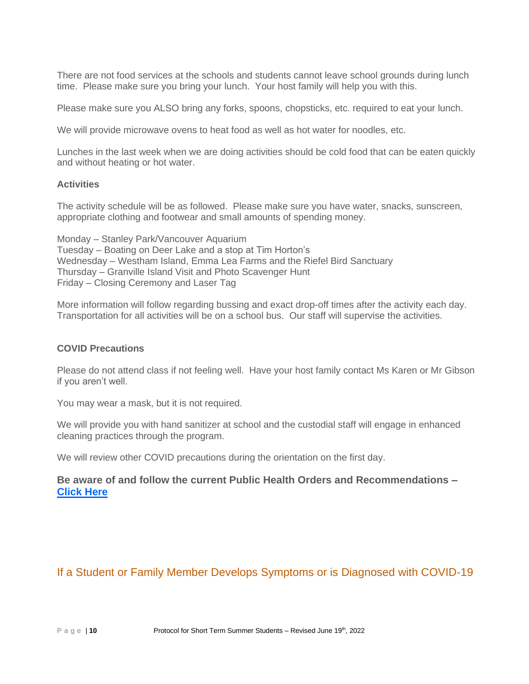There are not food services at the schools and students cannot leave school grounds during lunch time. Please make sure you bring your lunch. Your host family will help you with this.

Please make sure you ALSO bring any forks, spoons, chopsticks, etc. required to eat your lunch.

We will provide microwave ovens to heat food as well as hot water for noodles, etc.

Lunches in the last week when we are doing activities should be cold food that can be eaten quickly and without heating or hot water.

#### **Activities**

The activity schedule will be as followed. Please make sure you have water, snacks, sunscreen, appropriate clothing and footwear and small amounts of spending money.

Monday – Stanley Park/Vancouver Aquarium Tuesday – Boating on Deer Lake and a stop at Tim Horton's Wednesday – Westham Island, Emma Lea Farms and the Riefel Bird Sanctuary Thursday – Granville Island Visit and Photo Scavenger Hunt Friday – Closing Ceremony and Laser Tag

More information will follow regarding bussing and exact drop-off times after the activity each day. Transportation for all activities will be on a school bus. Our staff will supervise the activities.

#### **COVID Precautions**

Please do not attend class if not feeling well. Have your host family contact Ms Karen or Mr Gibson if you aren't well.

You may wear a mask, but it is not required.

We will provide you with hand sanitizer at school and the custodial staff will engage in enhanced cleaning practices through the program.

We will review other COVID precautions during the orientation on the first day.

**Be aware of and follow the current Public Health Orders and Recommendations – [Click Here](https://www2.gov.bc.ca/gov/content/covid-19/info/response)**

# If a Student or Family Member Develops Symptoms or is Diagnosed with COVID-19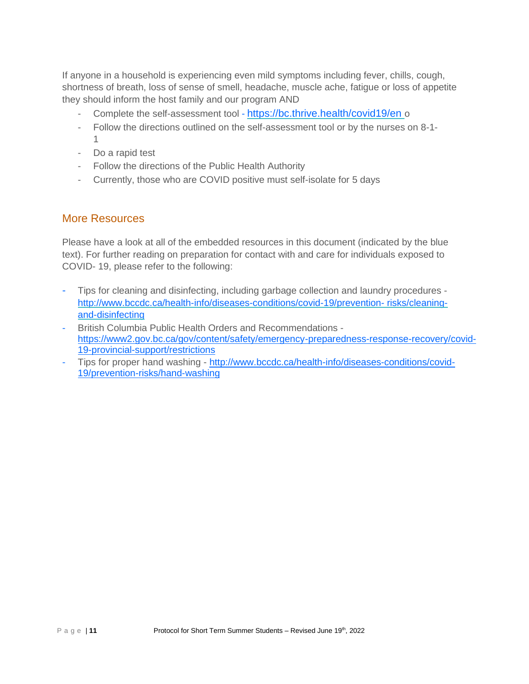If anyone in a household is experiencing even mild symptoms including fever, chills, cough, shortness of breath, loss of sense of smell, headache, muscle ache, fatigue or loss of appetite they should inform the host family and our program AND

- Complete the self-assessment tool <https://bc.thrive.health/covid19/en> o
- Follow the directions outlined on the self-assessment tool or by the nurses on 8-1- 1
- Do a rapid test
- Follow the directions of the Public Health Authority
- Currently, those who are COVID positive must self-isolate for 5 days

# More Resources

Please have a look at all of the embedded resources in this document (indicated by the blue text). For further reading on preparation for contact with and care for individuals exposed to COVID- 19, please refer to the following:

- Tips for cleaning and disinfecting, including garbage collection and laundry procedures <http://www.bccdc.ca/health-info/diseases-conditions/covid-19/prevention-> [risks/cleaning](http://www.bccdc.ca/health-info/diseases-conditions/covid-19/prevention-risks/cleaning-and-disinfecting)[and-disinfecting](http://www.bccdc.ca/health-info/diseases-conditions/covid-19/prevention-risks/cleaning-and-disinfecting)
- British Columbia Public Health Orders and Recommendations [https://www2.gov.bc.ca/gov/content/safety/emergency-preparedness-response-recovery/covid-](https://www2.gov.bc.ca/gov/content/safety/emergency-preparedness-response-recovery/covid-19-provincial-support/restrictions)[19-provincial-support/restrictions](https://www2.gov.bc.ca/gov/content/safety/emergency-preparedness-response-recovery/covid-19-provincial-support/restrictions)
- Tips for proper hand washing [http://www.bccdc.ca/health-info/diseases-conditions/covid-](http://www.bccdc.ca/health-info/diseases-conditions/covid-19/prevention-risks/hand-washing)[19/prevention-risks/hand-washing](http://www.bccdc.ca/health-info/diseases-conditions/covid-19/prevention-risks/hand-washing)